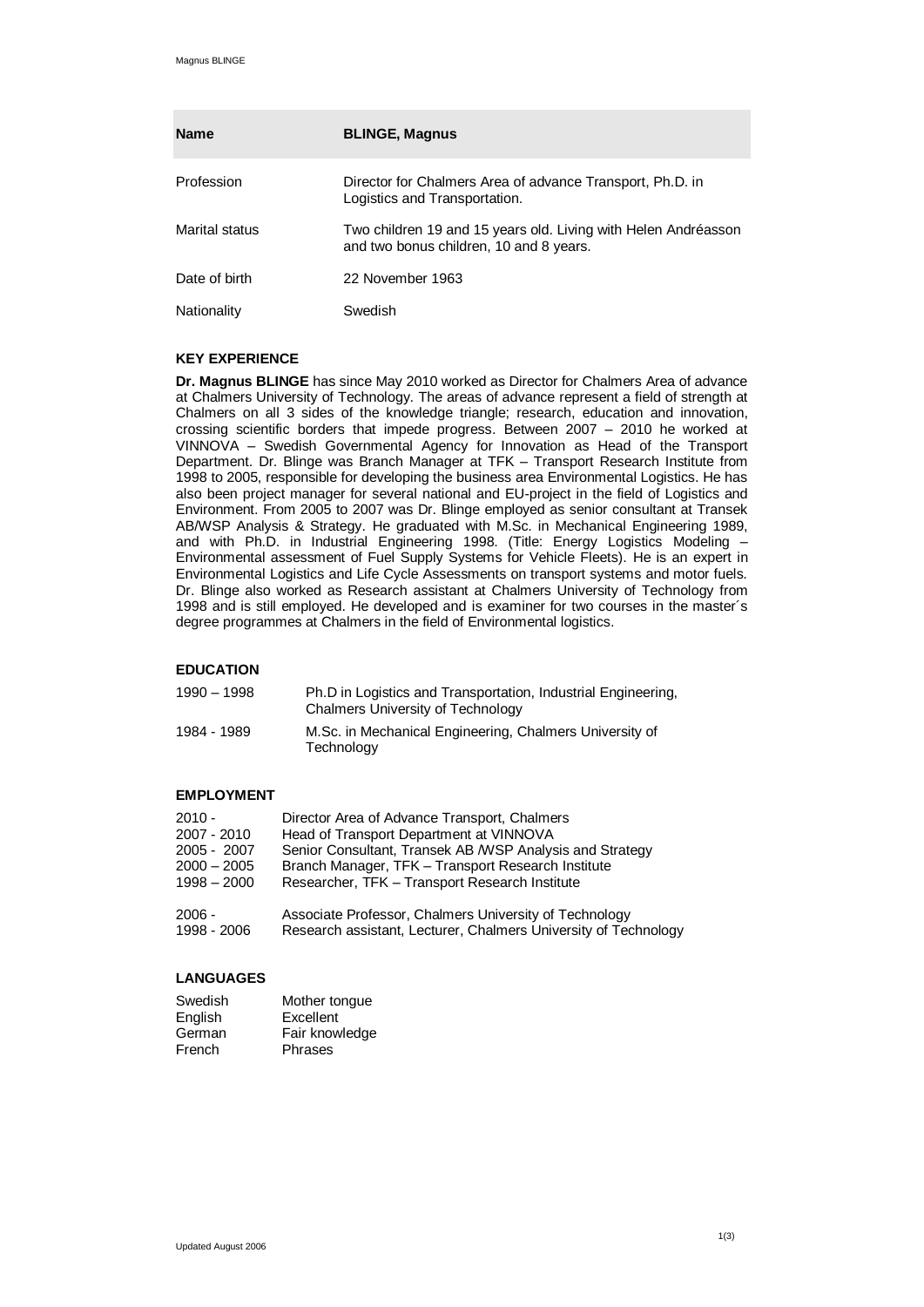| <b>Name</b>    | <b>BLINGE, Magnus</b>                                                                                     |
|----------------|-----------------------------------------------------------------------------------------------------------|
| Profession     | Director for Chalmers Area of advance Transport, Ph.D. in<br>Logistics and Transportation.                |
| Marital status | Two children 19 and 15 years old. Living with Helen Andréasson<br>and two bonus children, 10 and 8 years. |
| Date of birth  | 22 November 1963                                                                                          |
| Nationality    | Swedish                                                                                                   |

## **KEY EXPERIENCE**

**Dr. Magnus BLINGE** has since May 2010 worked as Director for Chalmers Area of advance at Chalmers University of Technology. The areas of advance represent a field of strength at Chalmers on all 3 sides of the knowledge triangle; research, education and innovation, crossing scientific borders that impede progress. Between 2007 – 2010 he worked at VINNOVA – Swedish Governmental Agency for Innovation as Head of the Transport Department. Dr. Blinge was Branch Manager at TFK – Transport Research Institute from 1998 to 2005, responsible for developing the business area Environmental Logistics. He has also been project manager for several national and EU-project in the field of Logistics and Environment. From 2005 to 2007 was Dr. Blinge employed as senior consultant at Transek AB/WSP Analysis & Strategy. He graduated with M.Sc. in Mechanical Engineering 1989, and with Ph.D. in Industrial Engineering 1998. (Title: Energy Logistics Modeling – Environmental assessment of Fuel Supply Systems for Vehicle Fleets). He is an expert in Environmental Logistics and Life Cycle Assessments on transport systems and motor fuels. Dr. Blinge also worked as Research assistant at Chalmers University of Technology from 1998 and is still employed. He developed and is examiner for two courses in the master´s degree programmes at Chalmers in the field of Environmental logistics.

## **EDUCATION**

| 1990 – 1998 | Ph.D in Logistics and Transportation, Industrial Engineering,<br><b>Chalmers University of Technology</b> |
|-------------|-----------------------------------------------------------------------------------------------------------|
| 1984 - 1989 | M.Sc. in Mechanical Engineering, Chalmers University of<br>Technology                                     |

# **EMPLOYMENT**

| $2010 -$      | Director Area of Advance Transport, Chalmers                    |
|---------------|-----------------------------------------------------------------|
| 2007 - 2010   | Head of Transport Department at VINNOVA                         |
| 2005 - 2007   | Senior Consultant, Transek AB / WSP Analysis and Strategy       |
| $2000 - 2005$ | Branch Manager, TFK - Transport Research Institute              |
| $1998 - 2000$ | Researcher, TFK - Transport Research Institute                  |
| $2006 -$      | Associate Professor, Chalmers University of Technology          |
| 1998 - 2006   | Research assistant, Lecturer, Chalmers University of Technology |

# **LANGUAGES**

| Swedish | Mother tongue  |
|---------|----------------|
| English | Excellent      |
| German  | Fair knowledge |
| French  | Phrases        |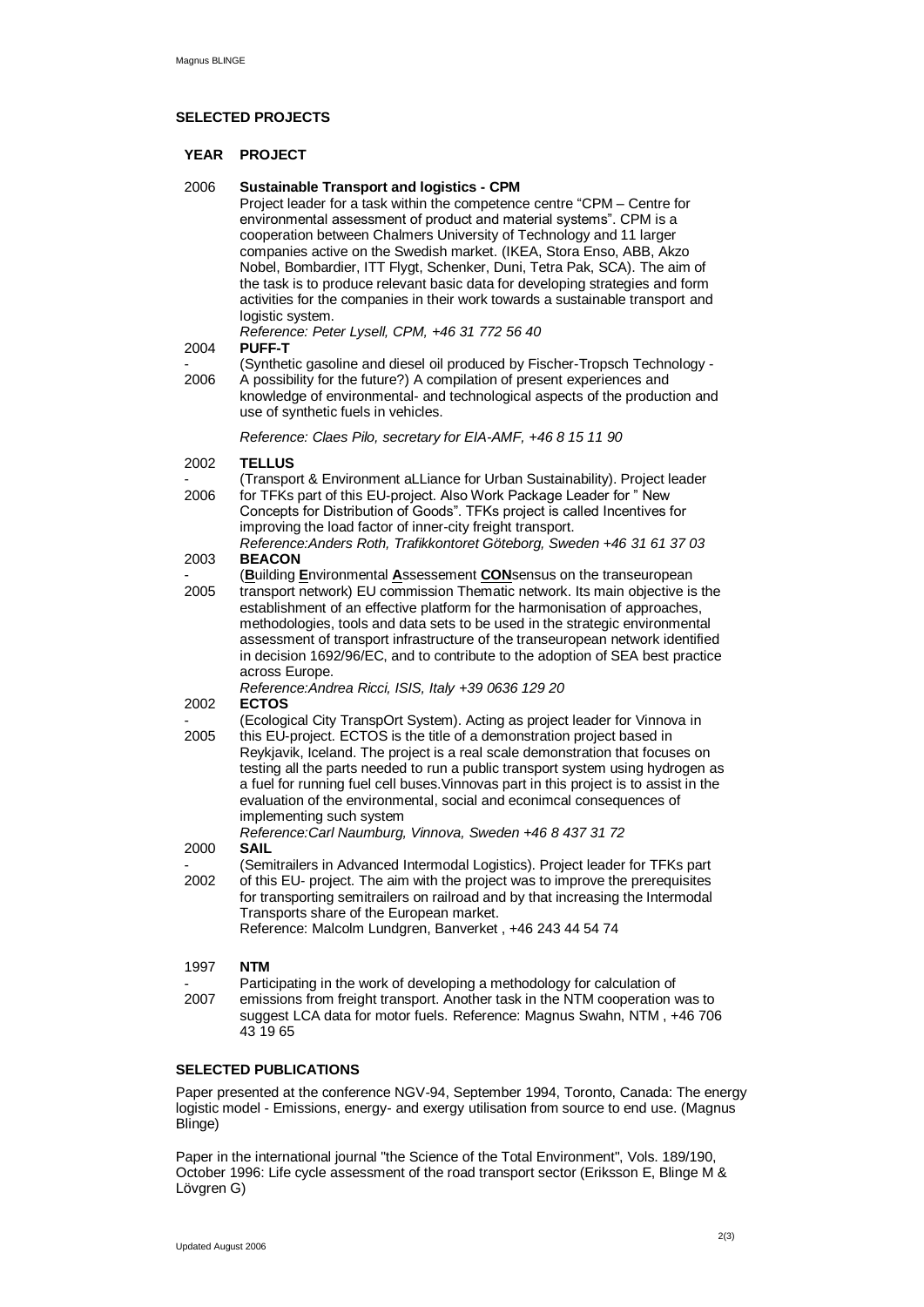### **SELECTED PROJECTS**

### **YEAR PROJECT**

### 2006 **Sustainable Transport and logistics - CPM**

Project leader for a task within the competence centre "CPM – Centre for environmental assessment of product and material systems". CPM is a cooperation between Chalmers University of Technology and 11 larger companies active on the Swedish market. (IKEA, Stora Enso, ABB, Akzo Nobel, Bombardier, ITT Flygt, Schenker, Duni, Tetra Pak, SCA). The aim of the task is to produce relevant basic data for developing strategies and form activities for the companies in their work towards a sustainable transport and logistic system.

*Reference: Peter Lysell, CPM, +46 31 772 56 40* **PUFF-T**

# 2004

- 2006 (Synthetic gasoline and diesel oil produced by Fischer-Tropsch Technology - A possibility for the future?) A compilation of present experiences and

knowledge of environmental- and technological aspects of the production and use of synthetic fuels in vehicles.

*Reference: Claes Pilo, secretary for EIA-AMF, +46 8 15 11 90*

#### 2002 **TELLUS**

- 2006 (Transport & Environment aLLiance for Urban Sustainability). Project leader for TFKs part of this EU-project. Also Work Package Leader for " New Concepts for Distribution of Goods". TFKs project is called Incentives for
- improving the load factor of inner-city freight transport. *Reference:Anders Roth, Trafikkontoret Göteborg, Sweden +46 31 61 37 03*

#### 2003 **BEACON**

- 2005 (**B**uilding **E**nvironmental **A**ssessement **CON**sensus on the transeuropean transport network) EU commission Thematic network. Its main objective is the establishment of an effective platform for the harmonisation of approaches, methodologies, tools and data sets to be used in the strategic environmental assessment of transport infrastructure of the transeuropean network identified in decision 1692/96/EC, and to contribute to the adoption of SEA best practice across Europe.
	- *Reference:Andrea Ricci, ISIS, Italy +39 0636 129 20* **ECTOS**
- 2002
- 2005 (Ecological City TranspOrt System). Acting as project leader for Vinnova in this EU-project. ECTOS is the title of a demonstration project based in
- Reykjavik, Iceland. The project is a real scale demonstration that focuses on testing all the parts needed to run a public transport system using hydrogen as a fuel for running fuel cell buses.Vinnovas part in this project is to assist in the evaluation of the environmental, social and econimcal consequences of implementing such system

*Reference:Carl Naumburg, Vinnova, Sweden +46 8 437 31 72*

#### 2000 **SAIL**

- 2002 (Semitrailers in Advanced Intermodal Logistics). Project leader for TFKs part of this EU- project. The aim with the project was to improve the prerequisites for transporting semitrailers on railroad and by that increasing the Intermodal Transports share of the European market. Reference: Malcolm Lundgren, Banverket , +46 243 44 54 74

#### 1997 **NTM**

- 2007 Participating in the work of developing a methodology for calculation of emissions from freight transport. Another task in the NTM cooperation was to suggest LCA data for motor fuels. Reference: Magnus Swahn, NTM , +46 706 43 19 65

### **SELECTED PUBLICATIONS**

Paper presented at the conference NGV-94, September 1994, Toronto, Canada: The energy logistic model - Emissions, energy- and exergy utilisation from source to end use. (Magnus Blinge)

Paper in the international journal "the Science of the Total Environment", Vols. 189/190, October 1996: Life cycle assessment of the road transport sector (Eriksson E, Blinge M & Lövgren G)